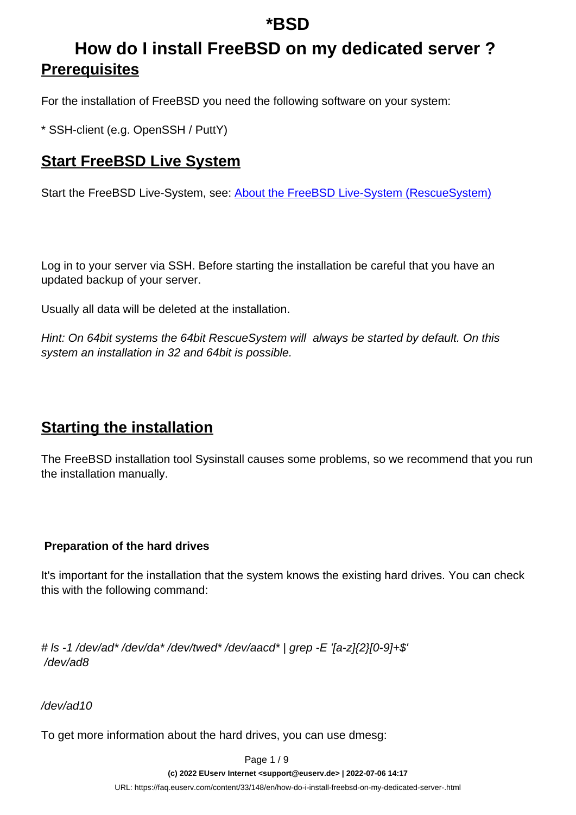# **How do I install FreeBSD on my dedicated server ? Prerequisites**

For the installation of FreeBSD you need the following software on your system:

\* SSH-client (e.g. OpenSSH / PuttY)

### **Start FreeBSD Live System**

Start the FreeBSD Live-System, see: [About the FreeBSD Live-System \(RescueSystem\)](https://faq.euserv.de/content/33/147/en/about-the-freebsd-live_system-rescuesystem.html)

Log in to your server via SSH. Before starting the installation be careful that you have an updated backup of your server.

Usually all data will be deleted at the installation.

Hint: On 64bit systems the 64bit RescueSystem will always be started by default. On this system an installation in 32 and 64bit is possible.

### **Starting the installation**

The FreeBSD installation tool Sysinstall causes some problems, so we recommend that you run the installation manually.

#### **Preparation of the hard drives**

It's important for the installation that the system knows the existing hard drives. You can check this with the following command:

# ls -1 /dev/ad\* /dev/da\* /dev/twed\* /dev/aacd\* | grep -E '[a-z]{2}[0-9]+\$' /dev/ad8

/dev/ad10

To get more information about the hard drives, you can use dmesg:

Page 1 / 9

**(c) 2022 EUserv Internet <support@euserv.de> | 2022-07-06 14:17**

[URL: https://faq.euserv.com/content/33/148/en/how-do-i-install-freebsd-on-my-dedicated-server-.html](https://faq.euserv.com/content/33/148/en/how-do-i-install-freebsd-on-my-dedicated-server-.html)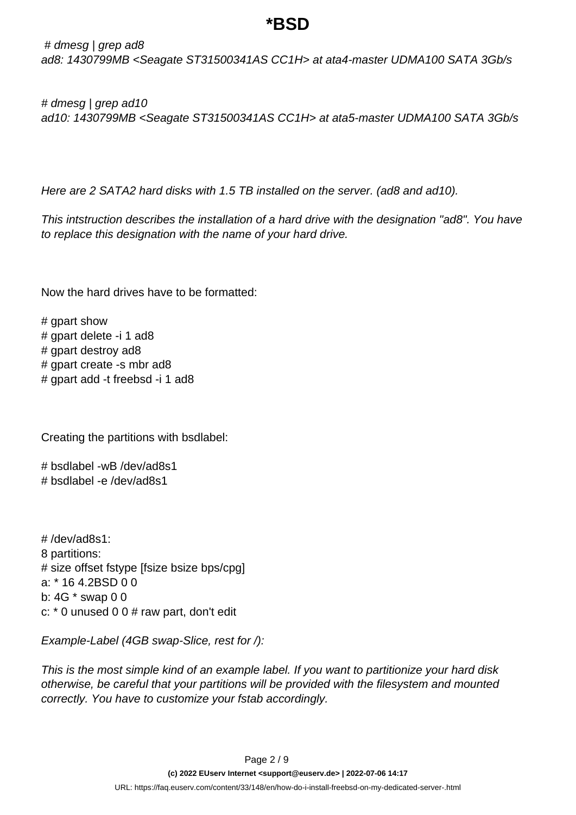# dmesg | grep ad8 ad8: 1430799MB <Seagate ST31500341AS CC1H> at ata4-master UDMA100 SATA 3Gb/s

# dmesg | grep ad10 ad10: 1430799MB <Seagate ST31500341AS CC1H> at ata5-master UDMA100 SATA 3Gb/s

Here are 2 SATA2 hard disks with 1.5 TB installed on the server. (ad8 and ad10).

This intstruction describes the installation of a hard drive with the designation "ad8". You have to replace this designation with the name of your hard drive.

Now the hard drives have to be formatted:

# gpart show # gpart delete -i 1 ad8 # gpart destroy ad8 # gpart create -s mbr ad8 # gpart add -t freebsd -i 1 ad8

Creating the partitions with bsdlabel:

# bsdlabel -wB /dev/ad8s1 # bsdlabel -e /dev/ad8s1

# /dev/ad8s1: 8 partitions: # size offset fstype [fsize bsize bps/cpg] a: \* 16 4.2BSD 0 0 b: 4G \* swap 0 0 c:  $*$  0 unused 0 0  $#$  raw part, don't edit

Example-Label (4GB swap-Slice, rest for /):

This is the most simple kind of an example label. If you want to partitionize your hard disk otherwise, be careful that your partitions will be provided with the filesystem and mounted correctly. You have to customize your fstab accordingly.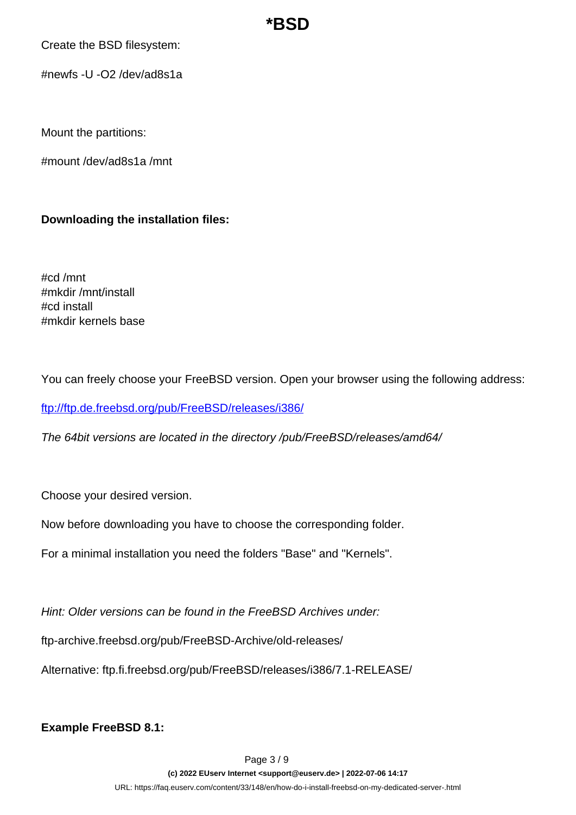Create the BSD filesystem:

#newfs -U -O2 /dev/ad8s1a

Mount the partitions:

#mount /dev/ad8s1a /mnt

### **Downloading the installation files:**

#cd /mnt #mkdir /mnt/install #cd install #mkdir kernels base

You can freely choose your FreeBSD version. Open your browser using the following address:

<ftp://ftp.de.freebsd.org/pub/FreeBSD/releases/i386/>

The 64bit versions are located in the directory /pub/FreeBSD/releases/amd64/

Choose your desired version.

Now before downloading you have to choose the corresponding folder.

For a minimal installation you need the folders "Base" and "Kernels".

Hint: Older versions can be found in the FreeBSD Archives under:

ftp-archive.freebsd.org/pub/FreeBSD-Archive/old-releases/

Alternative: ftp.fi.freebsd.org/pub/FreeBSD/releases/i386/7.1-RELEASE/

**Example FreeBSD 8.1:**

Page 3 / 9 **(c) 2022 EUserv Internet <support@euserv.de> | 2022-07-06 14:17** [URL: https://faq.euserv.com/content/33/148/en/how-do-i-install-freebsd-on-my-dedicated-server-.html](https://faq.euserv.com/content/33/148/en/how-do-i-install-freebsd-on-my-dedicated-server-.html)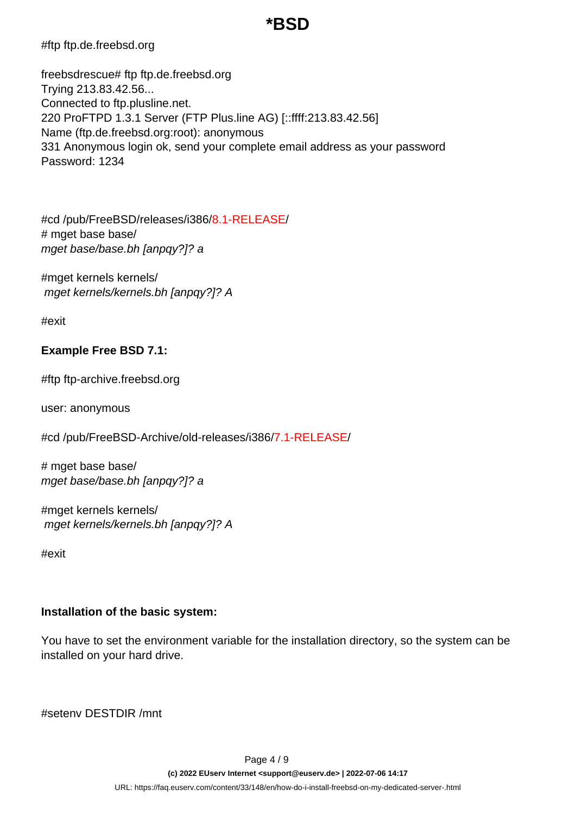#ftp ftp.de.freebsd.org

freebsdrescue# ftp ftp.de.freebsd.org Trying 213.83.42.56... Connected to ftp.plusline.net. 220 ProFTPD 1.3.1 Server (FTP Plus.line AG) [::ffff:213.83.42.56] Name (ftp.de.freebsd.org:root): anonymous 331 Anonymous login ok, send your complete email address as your password Password: 1234

#cd /pub/FreeBSD/releases/i386/8.1-RELEASE/ # mget base base/ mget base/base.bh [anpqy?]? a

#mget kernels kernels/ mget kernels/kernels.bh [anpqy?]? A

#exit

### **Example Free BSD 7.1:**

#ftp ftp-archive.freebsd.org

user: anonymous

#cd /pub/FreeBSD-Archive/old-releases/i386/7.1-RELEASE/

# mget base base/ mget base/base.bh [anpqy?]? a

#mget kernels kernels/ mget kernels/kernels.bh [anpqy?]? A

#exit

#### **Installation of the basic system:**

You have to set the environment variable for the installation directory, so the system can be installed on your hard drive.

#setenv DESTDIR /mnt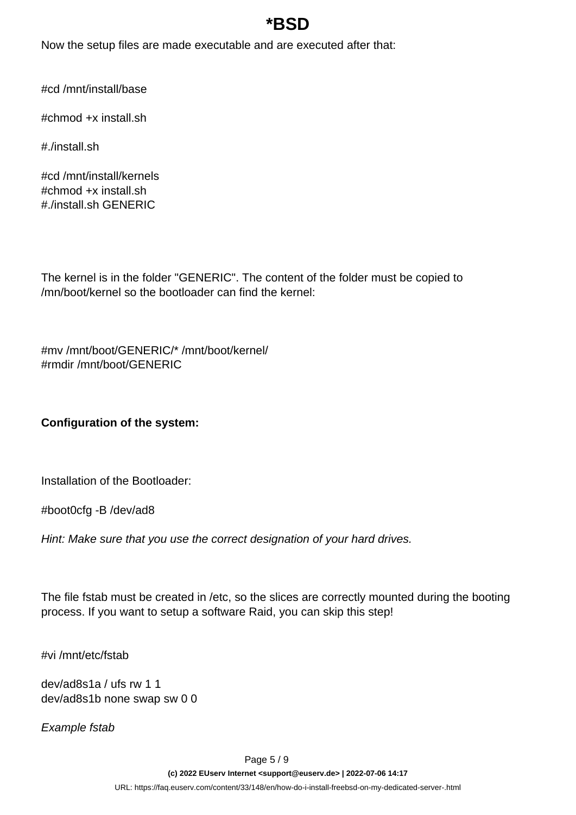Now the setup files are made executable and are executed after that:

#cd /mnt/install/base

#chmod +x install.sh

#./install.sh

#cd /mnt/install/kernels #chmod +x install.sh #./install.sh GENERIC

The kernel is in the folder "GENERIC". The content of the folder must be copied to /mn/boot/kernel so the bootloader can find the kernel:

#mv /mnt/boot/GENERIC/\* /mnt/boot/kernel/ #rmdir /mnt/boot/GENERIC

**Configuration of the system:**

Installation of the Bootloader:

#boot0cfg -B /dev/ad8

Hint: Make sure that you use the correct designation of your hard drives.

The file fstab must be created in /etc, so the slices are correctly mounted during the booting process. If you want to setup a software Raid, you can skip this step!

#vi /mnt/etc/fstab

dev/ad8s1a / ufs rw 1 1 dev/ad8s1b none swap sw 0 0

Example fstab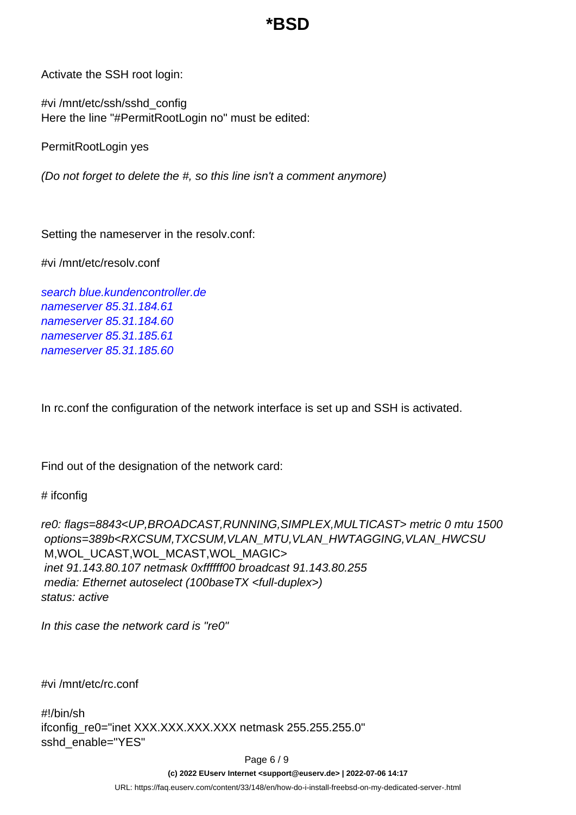Activate the SSH root login:

#vi /mnt/etc/ssh/sshd\_config Here the line "#PermitRootLogin no" must be edited:

PermitRootLogin yes

(Do not forget to delete the #, so this line isn't a comment anymore)

Setting the nameserver in the resolv.conf:

#vi /mnt/etc/resolv.conf

search blue.kundencontroller.de nameserver 85.31.184.61 nameserver 85.31.184.60 nameserver 85.31.185.61 nameserver 85.31.185.60

In rc.conf the configuration of the network interface is set up and SSH is activated.

Find out of the designation of the network card:

# ifconfig

re0: flags=8843<UP,BROADCAST,RUNNING,SIMPLEX,MULTICAST> metric 0 mtu 1500 options=389b<RXCSUM,TXCSUM,VLAN\_MTU,VLAN\_HWTAGGING,VLAN\_HWCSU M,WOL\_UCAST,WOL\_MCAST,WOL\_MAGIC> inet 91.143.80.107 netmask 0xffffff00 broadcast 91.143.80.255 media: Ethernet autoselect (100baseTX <full-duplex>) status: active

In this case the network card is "re0"

#vi /mnt/etc/rc.conf

#!/bin/sh ifconfig\_re0="inet XXX.XXX.XXX.XXX netmask 255.255.255.0" sshd\_enable="YES"

Page 6 / 9

**(c) 2022 EUserv Internet <support@euserv.de> | 2022-07-06 14:17**

[URL: https://faq.euserv.com/content/33/148/en/how-do-i-install-freebsd-on-my-dedicated-server-.html](https://faq.euserv.com/content/33/148/en/how-do-i-install-freebsd-on-my-dedicated-server-.html)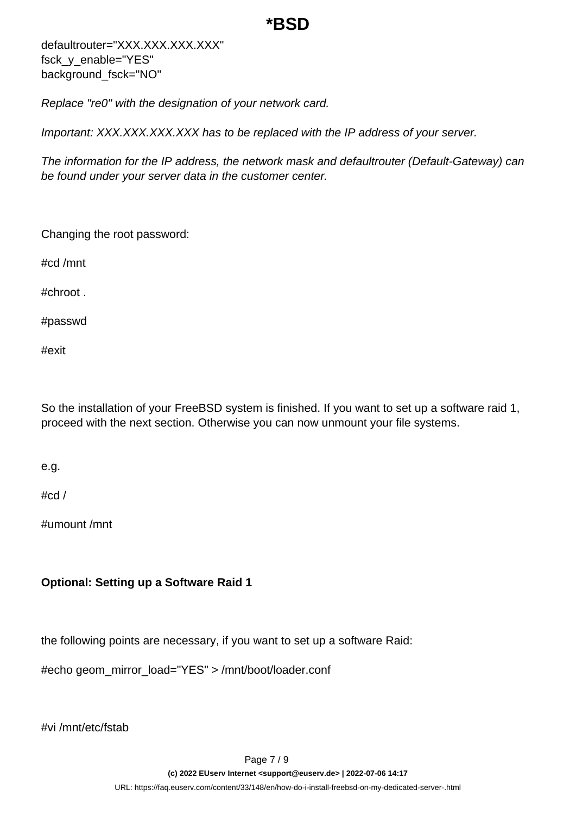defaultrouter="XXX.XXX.XXX.XXX" fsck\_y\_enable="YES" background\_fsck="NO"

Replace "re0" with the designation of your network card.

Important: XXX.XXX.XXX.XXX has to be replaced with the IP address of your server.

The information for the IP address, the network mask and defaultrouter (Default-Gateway) can be found under your server data in the customer center.

Changing the root password:

#cd /mnt

#chroot .

#passwd

#exit

So the installation of your FreeBSD system is finished. If you want to set up a software raid 1, proceed with the next section. Otherwise you can now unmount your file systems.

e.g.

#cd /

#umount /mnt

### **Optional: Setting up a Software Raid 1**

the following points are necessary, if you want to set up a software Raid:

#echo geom\_mirror\_load="YES" > /mnt/boot/loader.conf

#vi /mnt/etc/fstab

Page 7 / 9 **(c) 2022 EUserv Internet <support@euserv.de> | 2022-07-06 14:17** [URL: https://faq.euserv.com/content/33/148/en/how-do-i-install-freebsd-on-my-dedicated-server-.html](https://faq.euserv.com/content/33/148/en/how-do-i-install-freebsd-on-my-dedicated-server-.html)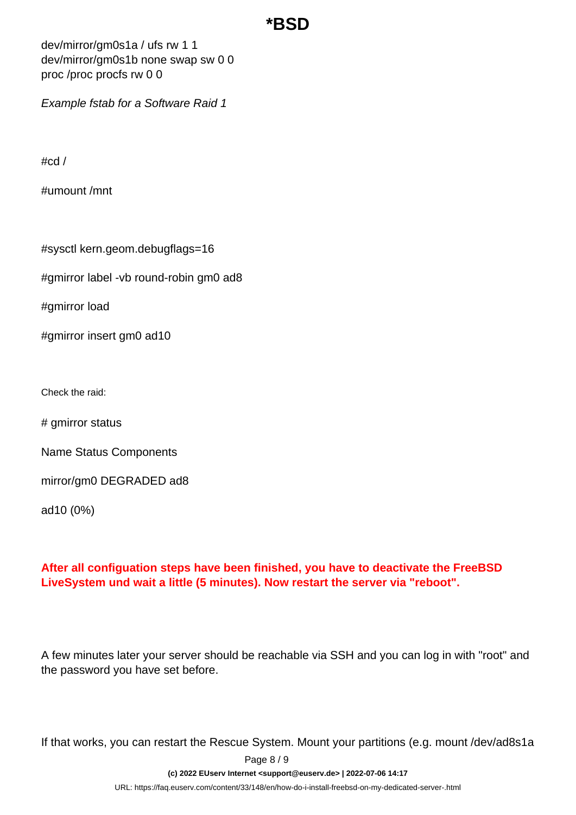dev/mirror/gm0s1a / ufs rw 1 1 dev/mirror/gm0s1b none swap sw 0 0 proc /proc procfs rw 0 0

Example fstab for a Software Raid 1

#cd /

#umount /mnt

#sysctl kern.geom.debugflags=16

#gmirror label -vb round-robin gm0 ad8

#gmirror load

#gmirror insert gm0 ad10

Check the raid:

# gmirror status

Name Status Components

mirror/gm0 DEGRADED ad8

ad10 (0%)

#### **After all configuation steps have been finished, you have to deactivate the FreeBSD LiveSystem und wait a little (5 minutes). Now restart the server via "reboot".**

A few minutes later your server should be reachable via SSH and you can log in with "root" and the password you have set before.

If that works, you can restart the Rescue System. Mount your partitions (e.g. mount /dev/ad8s1a

Page 8 / 9

**(c) 2022 EUserv Internet <support@euserv.de> | 2022-07-06 14:17**

[URL: https://faq.euserv.com/content/33/148/en/how-do-i-install-freebsd-on-my-dedicated-server-.html](https://faq.euserv.com/content/33/148/en/how-do-i-install-freebsd-on-my-dedicated-server-.html)